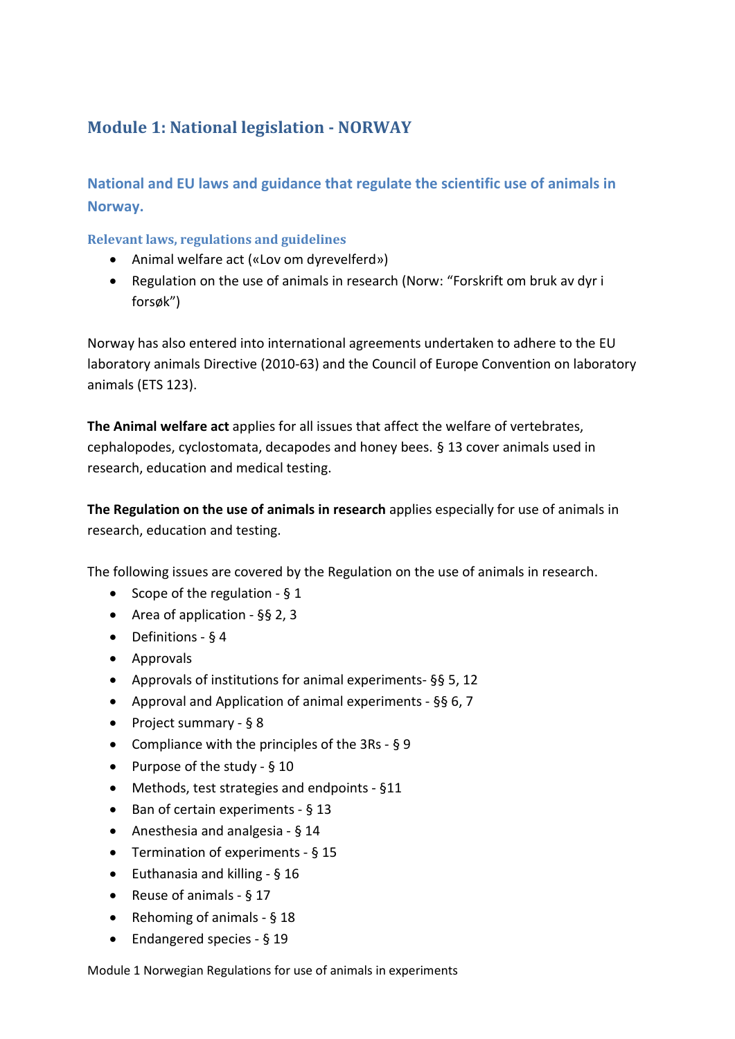# **Module 1: National legislation - NORWAY**

**National and EU laws and guidance that regulate the scientific use of animals in Norway.**

**Relevant laws, regulations and guidelines**

- Animal welfare act («Lov om dyrevelferd»)
- Regulation on the use of animals in research (Norw: "Forskrift om bruk av dyr i forsøk")

Norway has also entered into international agreements undertaken to adhere to the EU laboratory animals Directive (2010-63) and the Council of Europe Convention on laboratory animals (ETS 123).

**The Animal welfare act** applies for all issues that affect the welfare of vertebrates, cephalopodes, cyclostomata, decapodes and honey bees. § 13 cover animals used in research, education and medical testing.

**The Regulation on the use of animals in research** applies especially for use of animals in research, education and testing.

The following issues are covered by the Regulation on the use of animals in research.

- Scope of the regulation § 1
- Area of application §§ 2, 3
- Definitions § 4
- Approvals
- Approvals of institutions for animal experiments- §§ 5, 12
- Approval and Application of animal experiments §§ 6, 7
- Project summary § 8
- Compliance with the principles of the 3Rs § 9
- Purpose of the study § 10
- Methods, test strategies and endpoints §11
- Ban of certain experiments § 13
- Anesthesia and analgesia § 14
- Termination of experiments § 15
- Euthanasia and killing § 16
- Reuse of animals § 17
- Rehoming of animals § 18
- Endangered species § 19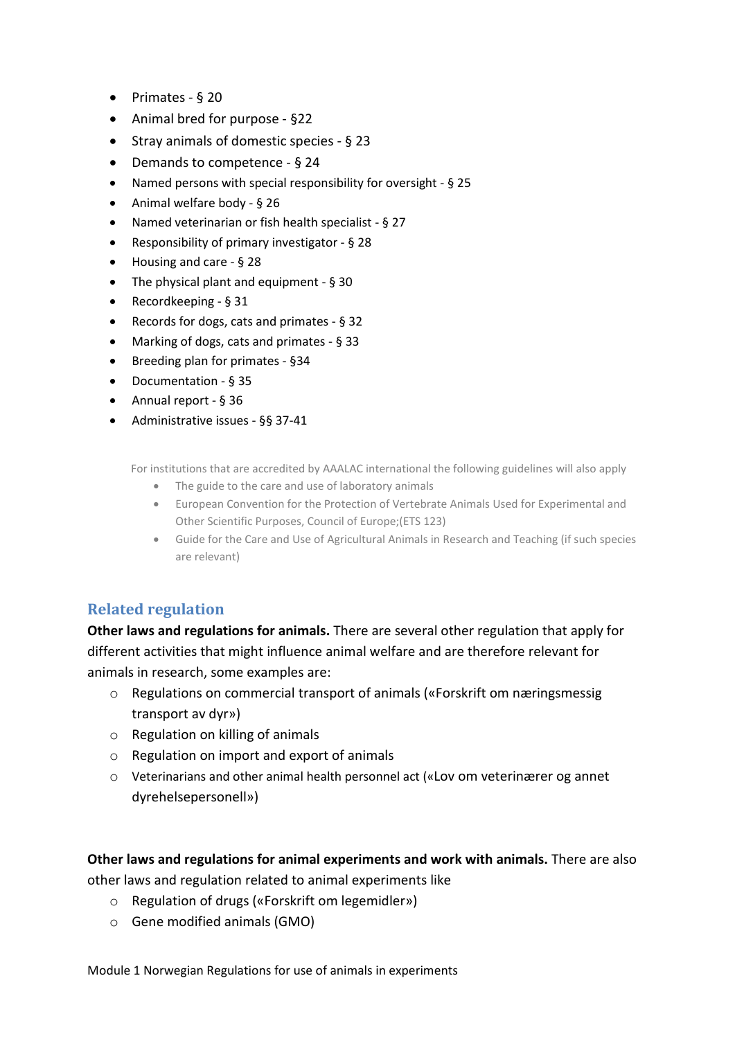- Primates § 20
- Animal bred for purpose §22
- Stray animals of domestic species § 23
- Demands to competence § 24
- Named persons with special responsibility for oversight § 25
- Animal welfare body § 26
- Named veterinarian or fish health specialist § 27
- Responsibility of primary investigator § 28
- Housing and care § 28
- The physical plant and equipment § 30
- Recordkeeping § 31
- Records for dogs, cats and primates § 32
- Marking of dogs, cats and primates § 33
- Breeding plan for primates §34
- Documentation § 35
- Annual report § 36
- Administrative issues §§ 37-41

For institutions that are accredited by AAALAC international the following guidelines will also apply

- The guide to the care and use of laboratory animals
- European Convention for the Protection of Vertebrate Animals Used for Experimental and Other Scientific Purposes, Council of Europe;(ETS 123)
- Guide for the Care and Use of Agricultural Animals in Research and Teaching (if such species are relevant)

### **Related regulation**

**Other laws and regulations for animals.** There are several other regulation that apply for different activities that might influence animal welfare and are therefore relevant for animals in research, some examples are:

- o Regulations on commercial transport of animals («Forskrift om næringsmessig transport av dyr»)
- o Regulation on killing of animals
- o Regulation on import and export of animals
- o Veterinarians and other animal health personnel act («Lov om veterinærer og annet dyrehelsepersonell»)

**Other laws and regulations for animal experiments and work with animals.** There are also other laws and regulation related to animal experiments like

- o Regulation of drugs («Forskrift om legemidler»)
- o Gene modified animals (GMO)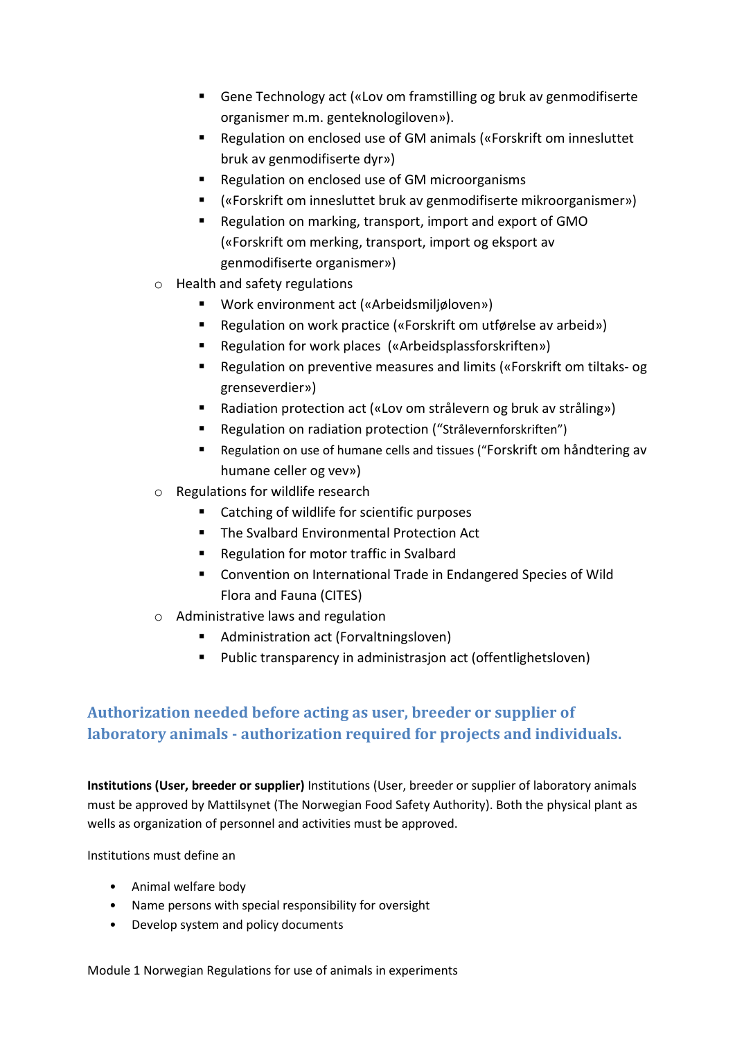- Gene Technology act («Lov om framstilling og bruk av genmodifiserte organismer m.m. genteknologiloven»).
- Regulation on enclosed use of GM animals («Forskrift om innesluttet bruk av genmodifiserte dyr»)
- Regulation on enclosed use of GM microorganisms
- («Forskrift om innesluttet bruk av genmodifiserte mikroorganismer»)
- Regulation on marking, transport, import and export of GMO («Forskrift om merking, transport, import og eksport av genmodifiserte organismer»)
- o Health and safety regulations
	- Work environment act («Arbeidsmiljøloven»)
	- Regulation on work practice («Forskrift om utførelse av arbeid»)
	- Regulation for work places («Arbeidsplassforskriften»)
	- Regulation on preventive measures and limits («Forskrift om tiltaks- og grenseverdier»)
	- Radiation protection act («Lov om strålevern og bruk av stråling»)
	- Regulation on radiation protection ("Strålevernforskriften")
	- Regulation on use of humane cells and tissues ("Forskrift om håndtering av humane celler og vev»)
- o Regulations for wildlife research
	- Catching of wildlife for scientific purposes
	- **The Svalbard Environmental Protection Act**
	- Regulation for motor traffic in Svalbard
	- Convention on International Trade in Endangered Species of Wild Flora and Fauna (CITES)
- o Administrative laws and regulation
	- **Administration act (Forvaltningsloven)**
	- **Public transparency in administrasjon act (offentlighetsloven)**

## **Authorization needed before acting as user, breeder or supplier of laboratory animals - authorization required for projects and individuals.**

**Institutions (User, breeder or supplier)** Institutions (User, breeder or supplier of laboratory animals must be approved by Mattilsynet (The Norwegian Food Safety Authority). Both the physical plant as wells as organization of personnel and activities must be approved.

Institutions must define an

- Animal welfare body
- Name persons with special responsibility for oversight
- Develop system and policy documents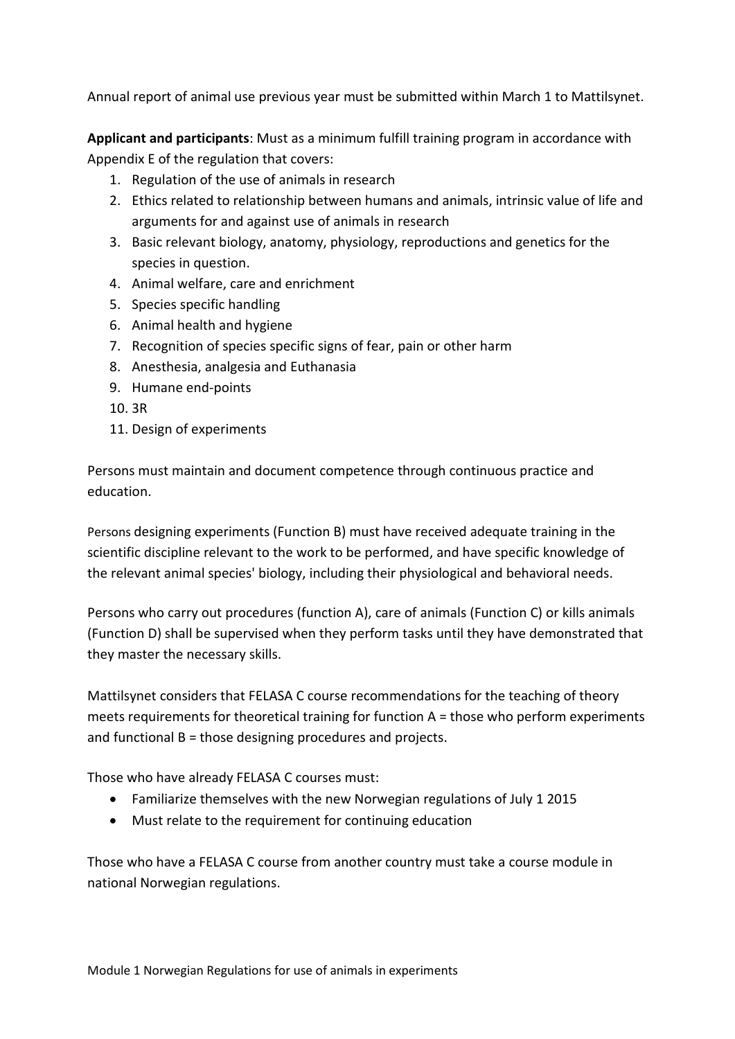Annual report of animal use previous year must be submitted within March 1 to Mattilsynet.

**Applicant and participants**: Must as a minimum fulfill training program in accordance with Appendix E of the regulation that covers:

- 1. Regulation of the use of animals in research
- 2. Ethics related to relationship between humans and animals, intrinsic value of life and arguments for and against use of animals in research
- 3. Basic relevant biology, anatomy, physiology, reproductions and genetics for the species in question.
- 4. Animal welfare, care and enrichment
- 5. Species specific handling
- 6. Animal health and hygiene
- 7. Recognition of species specific signs of fear, pain or other harm
- 8. Anesthesia, analgesia and Euthanasia
- 9. Humane end-points
- 10. 3R
- 11. Design of experiments

Persons must maintain and document competence through continuous practice and education.

Persons designing experiments (Function B) must have received adequate training in the scientific discipline relevant to the work to be performed, and have specific knowledge of the relevant animal species' biology, including their physiological and behavioral needs.

Persons who carry out procedures (function A), care of animals (Function C) or kills animals (Function D) shall be supervised when they perform tasks until they have demonstrated that they master the necessary skills.

Mattilsynet considers that FELASA C course recommendations for the teaching of theory meets requirements for theoretical training for function  $A =$  those who perform experiments and functional B = those designing procedures and projects.

Those who have already FELASA C courses must:

- Familiarize themselves with the new Norwegian regulations of July 1 2015
- Must relate to the requirement for continuing education

Those who have a FELASA C course from another country must take a course module in national Norwegian regulations.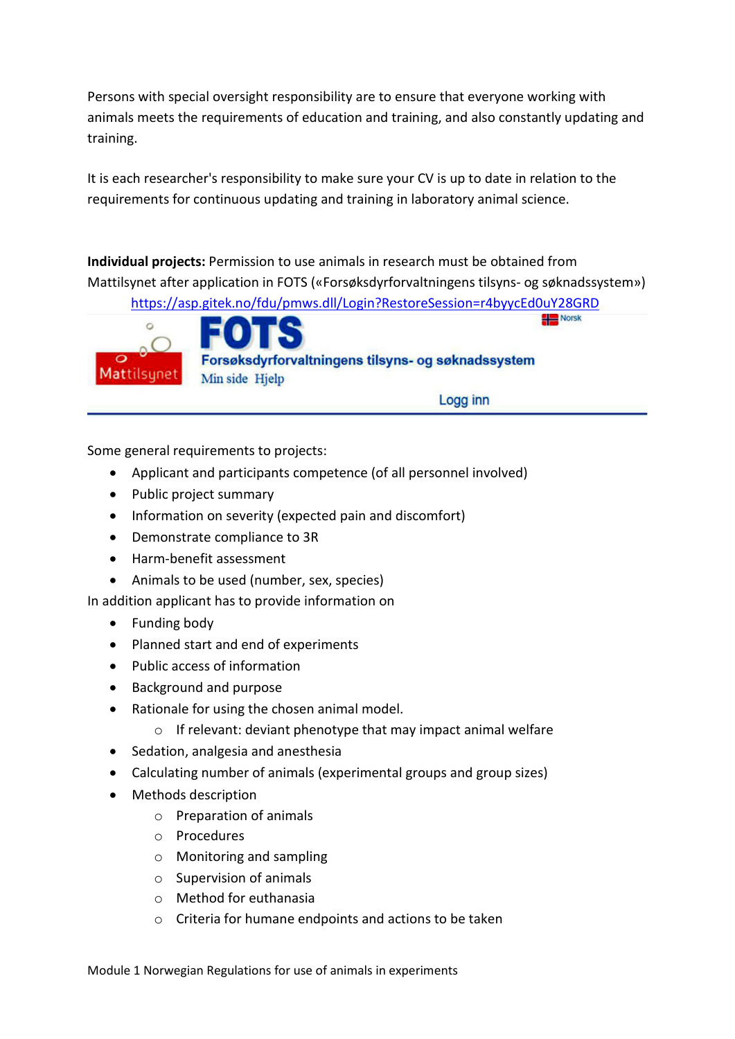Persons with special oversight responsibility are to ensure that everyone working with animals meets the requirements of education and training, and also constantly updating and training.

It is each researcher's responsibility to make sure your CV is up to date in relation to the requirements for continuous updating and training in laboratory animal science.

**Individual projects:** Permission to use animals in research must be obtained from Mattilsynet after application in FOTS («Forsøksdyrforvaltningens tilsyns- og søknadssystem»)

<https://asp.gitek.no/fdu/pmws.dll/Login?RestoreSession=r4byycEd0uY28GRD>



Logg inn

Some general requirements to projects:

- Applicant and participants competence (of all personnel involved)
- Public project summary
- Information on severity (expected pain and discomfort)
- Demonstrate compliance to 3R
- Harm-benefit assessment
- Animals to be used (number, sex, species)

In addition applicant has to provide information on

- Funding body
- Planned start and end of experiments
- Public access of information
- Background and purpose
- Rationale for using the chosen animal model.
	- $\circ$  If relevant: deviant phenotype that may impact animal welfare
- Sedation, analgesia and anesthesia
- Calculating number of animals (experimental groups and group sizes)
- Methods description
	- o Preparation of animals
	- o Procedures
	- o Monitoring and sampling
	- o Supervision of animals
	- o Method for euthanasia
	- o Criteria for humane endpoints and actions to be taken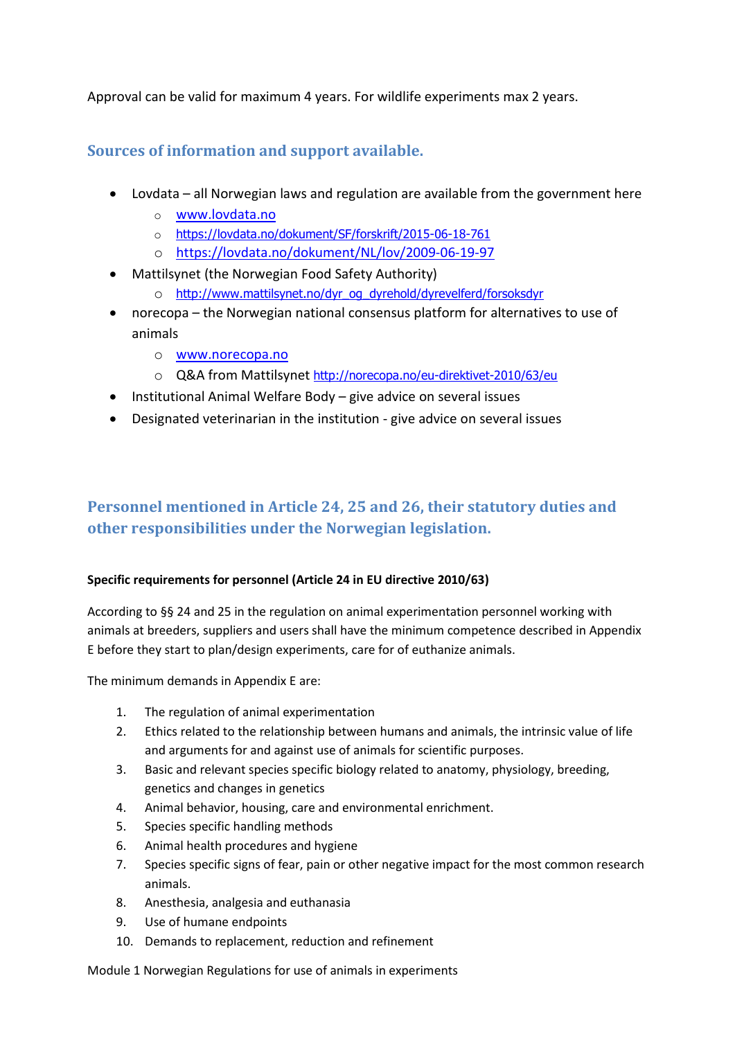Approval can be valid for maximum 4 years. For wildlife experiments max 2 years.

### **Sources of information and support available.**

- Lovdata all Norwegian laws and regulation are available from the government here
	- o [www.lovdata.no](http://www.lovdata.no/)
	- o <https://lovdata.no/dokument/SF/forskrift/2015-06-18-761>
	- o <https://lovdata.no/dokument/NL/lov/2009-06-19-97>
- Mattilsynet (the Norwegian Food Safety Authority)
	- o [http://www.mattilsynet.no/dyr\\_og\\_dyrehold/dyrevelferd/forsoksdyr](http://www.mattilsynet.no/dyr_og_dyrehold/dyrevelferd/forsoksdyr)
- norecopa the Norwegian national consensus platform for alternatives to use of animals
	- o [www.norecopa.no](http://www.norecopa.no/)
	- o Q&A from Mattilsynet <http://norecopa.no/eu-direktivet-2010/63/eu>
- Institutional Animal Welfare Body give advice on several issues
- Designated veterinarian in the institution give advice on several issues

# **Personnel mentioned in Article 24, 25 and 26, their statutory duties and other responsibilities under the Norwegian legislation.**

### **Specific requirements for personnel (Article 24 in EU directive 2010/63)**

According to §§ 24 and 25 in the regulation on animal experimentation personnel working with animals at breeders, suppliers and users shall have the minimum competence described in Appendix E before they start to plan/design experiments, care for of euthanize animals.

The minimum demands in Appendix E are:

- 1. The regulation of animal experimentation
- 2. Ethics related to the relationship between humans and animals, the intrinsic value of life and arguments for and against use of animals for scientific purposes.
- 3. Basic and relevant species specific biology related to anatomy, physiology, breeding, genetics and changes in genetics
- 4. Animal behavior, housing, care and environmental enrichment.
- 5. Species specific handling methods
- 6. Animal health procedures and hygiene
- 7. Species specific signs of fear, pain or other negative impact for the most common research animals.
- 8. Anesthesia, analgesia and euthanasia
- 9. Use of humane endpoints
- 10. Demands to replacement, reduction and refinement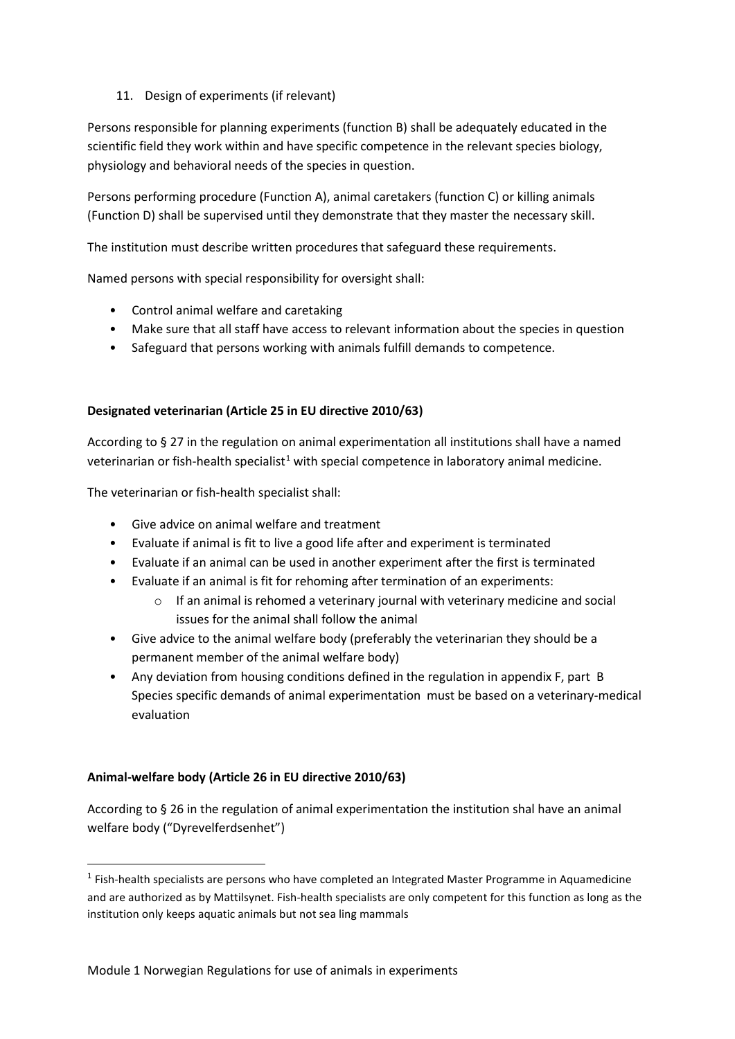### 11. Design of experiments (if relevant)

Persons responsible for planning experiments (function B) shall be adequately educated in the scientific field they work within and have specific competence in the relevant species biology, physiology and behavioral needs of the species in question.

Persons performing procedure (Function A), animal caretakers (function C) or killing animals (Function D) shall be supervised until they demonstrate that they master the necessary skill.

The institution must describe written procedures that safeguard these requirements.

Named persons with special responsibility for oversight shall:

- Control animal welfare and caretaking
- Make sure that all staff have access to relevant information about the species in question
- Safeguard that persons working with animals fulfill demands to competence.

### **Designated veterinarian (Article 25 in EU directive 2010/63)**

According to § 27 in the regulation on animal experimentation all institutions shall have a named veterinarian or fish-health specialist<sup>[1](#page-6-0)</sup> with special competence in laboratory animal medicine.

The veterinarian or fish-health specialist shall:

- Give advice on animal welfare and treatment
- Evaluate if animal is fit to live a good life after and experiment is terminated
- Evaluate if an animal can be used in another experiment after the first is terminated
- Evaluate if an animal is fit for rehoming after termination of an experiments:
	- $\circ$  If an animal is rehomed a veterinary journal with veterinary medicine and social issues for the animal shall follow the animal
- Give advice to the animal welfare body (preferably the veterinarian they should be a permanent member of the animal welfare body)
- Any deviation from housing conditions defined in the regulation in appendix F, part B Species specific demands of animal experimentation must be based on a veterinary-medical evaluation

### **Animal-welfare body (Article 26 in EU directive 2010/63)**

According to § 26 in the regulation of animal experimentation the institution shal have an animal welfare body ("Dyrevelferdsenhet")

<span id="page-6-0"></span><sup>&</sup>lt;sup>1</sup> Fish-health specialists are persons who have completed an Integrated Master Programme in Aquamedicine and are authorized as by Mattilsynet. Fish-health specialists are only competent for this function as long as the institution only keeps aquatic animals but not sea ling mammals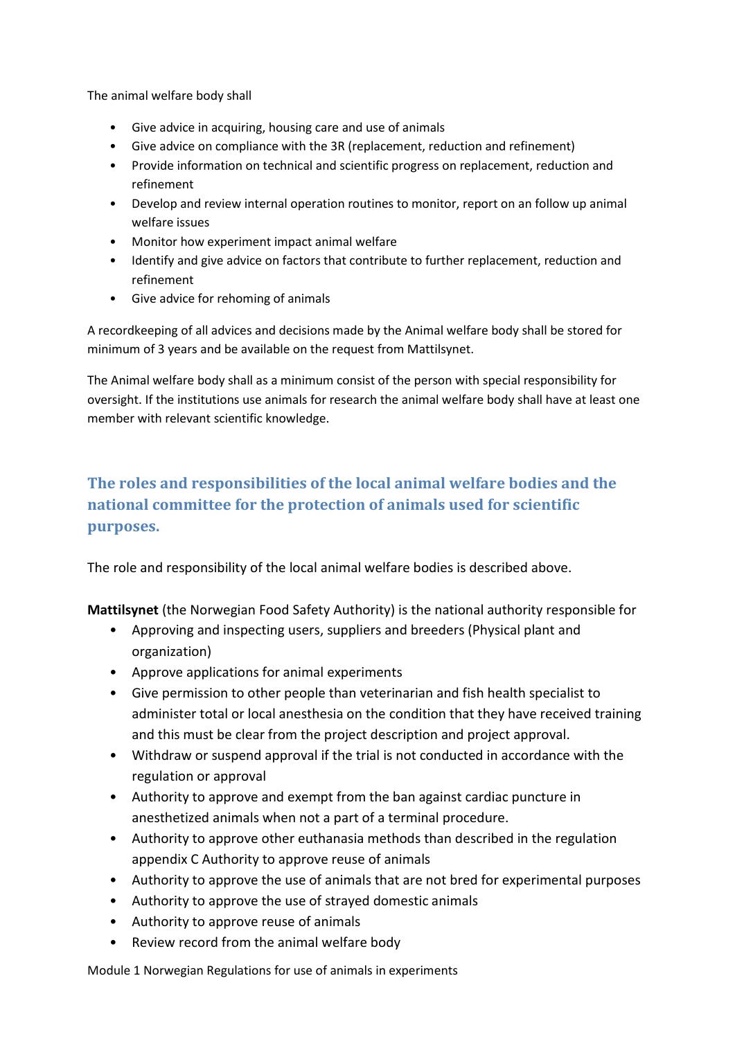The animal welfare body shall

- Give advice in acquiring, housing care and use of animals
- Give advice on compliance with the 3R (replacement, reduction and refinement)
- Provide information on technical and scientific progress on replacement, reduction and refinement
- Develop and review internal operation routines to monitor, report on an follow up animal welfare issues
- Monitor how experiment impact animal welfare
- Identify and give advice on factors that contribute to further replacement, reduction and refinement
- Give advice for rehoming of animals

A recordkeeping of all advices and decisions made by the Animal welfare body shall be stored for minimum of 3 years and be available on the request from Mattilsynet.

The Animal welfare body shall as a minimum consist of the person with special responsibility for oversight. If the institutions use animals for research the animal welfare body shall have at least one member with relevant scientific knowledge.

# **The roles and responsibilities of the local animal welfare bodies and the national committee for the protection of animals used for scientific purposes.**

The role and responsibility of the local animal welfare bodies is described above.

**Mattilsynet** (the Norwegian Food Safety Authority) is the national authority responsible for

- Approving and inspecting users, suppliers and breeders (Physical plant and organization)
- Approve applications for animal experiments
- Give permission to other people than veterinarian and fish health specialist to administer total or local anesthesia on the condition that they have received training and this must be clear from the project description and project approval.
- Withdraw or suspend approval if the trial is not conducted in accordance with the regulation or approval
- Authority to approve and exempt from the ban against cardiac puncture in anesthetized animals when not a part of a terminal procedure.
- Authority to approve other euthanasia methods than described in the regulation appendix C Authority to approve reuse of animals
- Authority to approve the use of animals that are not bred for experimental purposes
- Authority to approve the use of strayed domestic animals
- Authority to approve reuse of animals
- Review record from the animal welfare body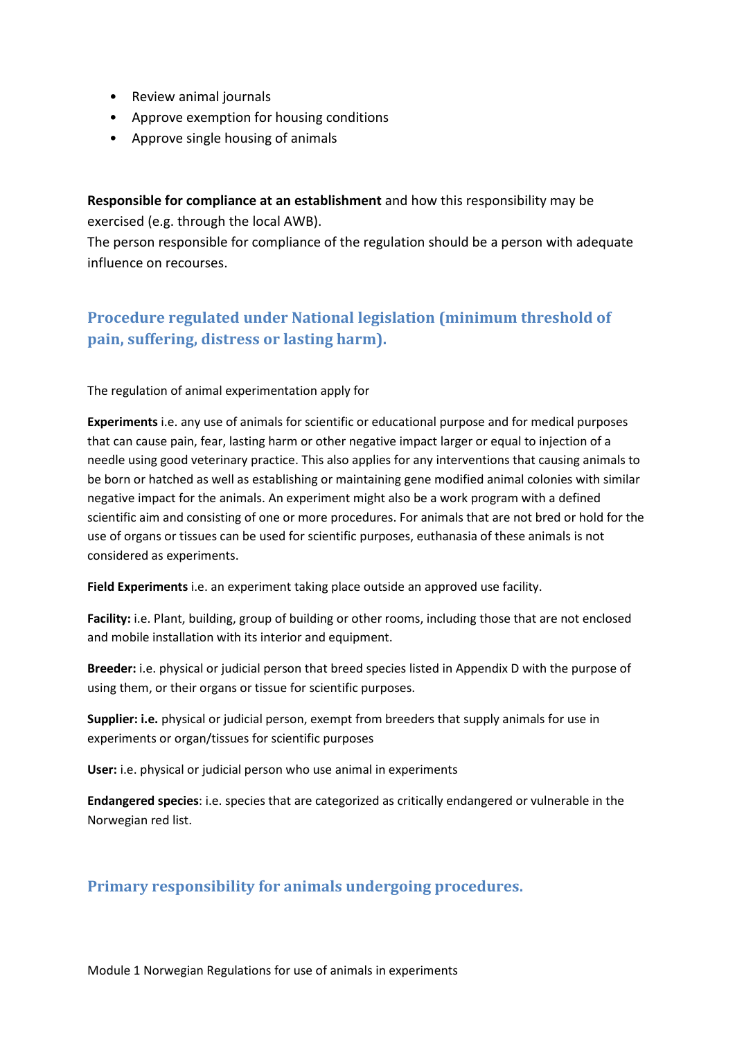- Review animal journals
- Approve exemption for housing conditions
- Approve single housing of animals

**Responsible for compliance at an establishment** and how this responsibility may be exercised (e.g. through the local AWB).

The person responsible for compliance of the regulation should be a person with adequate influence on recourses.

# **Procedure regulated under National legislation (minimum threshold of pain, suffering, distress or lasting harm).**

The regulation of animal experimentation apply for

**Experiments** i.e. any use of animals for scientific or educational purpose and for medical purposes that can cause pain, fear, lasting harm or other negative impact larger or equal to injection of a needle using good veterinary practice. This also applies for any interventions that causing animals to be born or hatched as well as establishing or maintaining gene modified animal colonies with similar negative impact for the animals. An experiment might also be a work program with a defined scientific aim and consisting of one or more procedures. For animals that are not bred or hold for the use of organs or tissues can be used for scientific purposes, euthanasia of these animals is not considered as experiments.

**Field Experiments** i.e. an experiment taking place outside an approved use facility.

**Facility:** i.e. Plant, building, group of building or other rooms, including those that are not enclosed and mobile installation with its interior and equipment.

**Breeder:** i.e. physical or judicial person that breed species listed in Appendix D with the purpose of using them, or their organs or tissue for scientific purposes.

**Supplier: i.e.** physical or judicial person, exempt from breeders that supply animals for use in experiments or organ/tissues for scientific purposes

**User:** i.e. physical or judicial person who use animal in experiments

**Endangered species**: i.e. species that are categorized as critically endangered or vulnerable in the Norwegian red list.

### **Primary responsibility for animals undergoing procedures.**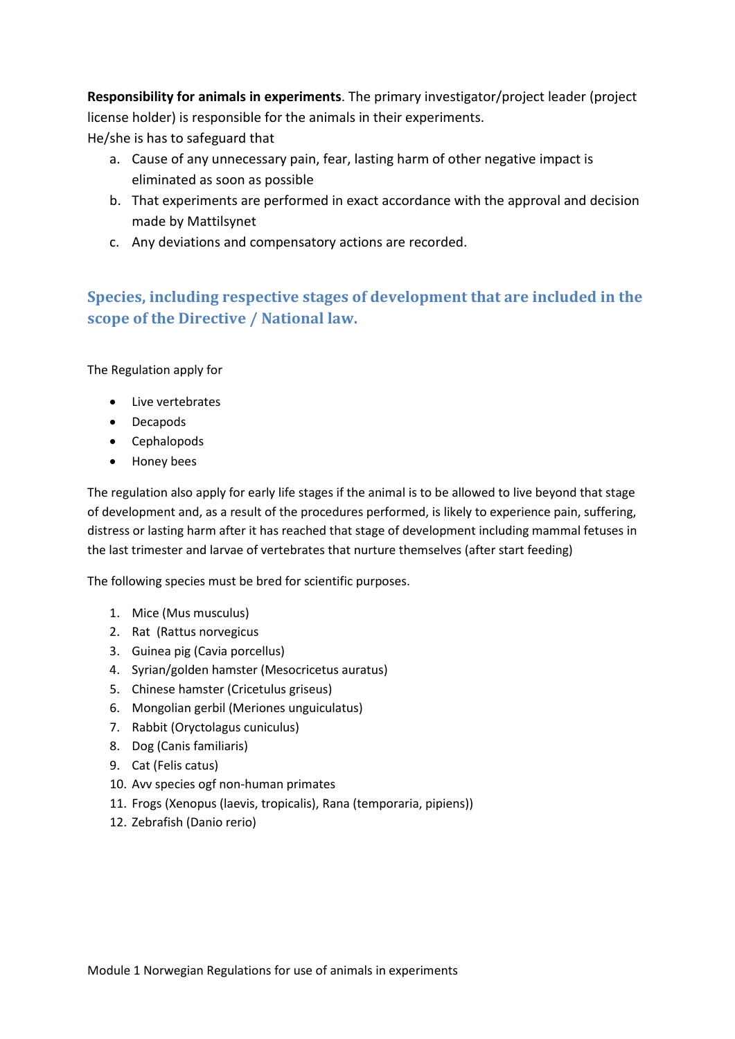**Responsibility for animals in experiments**. The primary investigator/project leader (project license holder) is responsible for the animals in their experiments.

He/she is has to safeguard that

- a. Cause of any unnecessary pain, fear, lasting harm of other negative impact is eliminated as soon as possible
- b. That experiments are performed in exact accordance with the approval and decision made by Mattilsynet
- c. Any deviations and compensatory actions are recorded.

## **Species, including respective stages of development that are included in the scope of the Directive / National law.**

The Regulation apply for

- Live vertebrates
- Decapods
- Cephalopods
- Honey bees

The regulation also apply for early life stages if the animal is to be allowed to live beyond that stage of development and, as a result of the procedures performed, is likely to experience pain, suffering, distress or lasting harm after it has reached that stage of development including mammal fetuses in the last trimester and larvae of vertebrates that nurture themselves (after start feeding)

The following species must be bred for scientific purposes.

- 1. Mice (Mus musculus)
- 2. Rat (Rattus norvegicus
- 3. Guinea pig (Cavia porcellus)
- 4. Syrian/golden hamster (Mesocricetus auratus)
- 5. Chinese hamster (Cricetulus griseus)
- 6. Mongolian gerbil (Meriones unguiculatus)
- 7. Rabbit (Oryctolagus cuniculus)
- 8. Dog (Canis familiaris)
- 9. Cat (Felis catus)
- 10. Avv species ogf non-human primates
- 11. Frogs (Xenopus (laevis, tropicalis), Rana (temporaria, pipiens))
- 12. Zebrafish (Danio rerio)